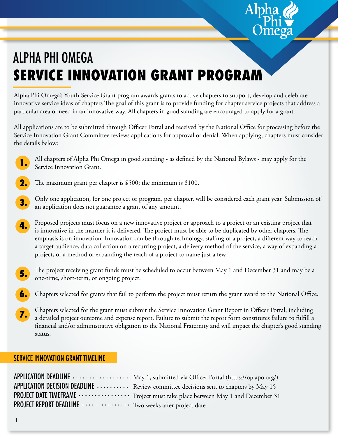## ALPHA PHI OMEGA **SERVICE INNOVATION GRANT PROGRAM**

Alpha Phi Omega's Youth Service Grant program awards grants to active chapters to support, develop and celebrate innovative service ideas of chapters The goal of this grant is to provide funding for chapter service projects that address a particular area of need in an innovative way. All chapters in good standing are encouraged to apply for a grant.

All applications are to be submitted through Officer Portal and received by the National Office for processing before the Service Innovation Grant Committee reviews applications for approval or denial. When applying, chapters must consider the details below:



All chapters of Alpha Phi Omega in good standing - as defined by the National Bylaws - may apply for the Service Innovation Grant.

- The maximum grant per chapter is \$500; the minimum is \$100. **2.**
- Only one application, for one project or program, per chapter, will be considered each grant year. Submission of an application does not guarantee a grant of any amount. **3.**
- Proposed projects must focus on a new innovative project or approach to a project or an existing project that is innovative in the manner it is delivered. The project must be able to be duplicated by other chapters. The emphasis is on innovation. Innovation can be through technology, staffing of a project, a different way to reach a target audience, data collection on a recurring project, a delivery method of the service, a way of expanding a project, or a method of expanding the reach of a project to name just a few. **4.**
- The project receiving grant funds must be scheduled to occur between May 1 and December 31 and may be a one-time, short-term, or ongoing project. **5.**
- Chapters selected for grants that fail to perform the project must return the grant award to the National Office. **6.**
- Chapters selected for the grant must submit the Service Innovation Grant Report in Officer Portal, including a detailed project outcome and expense report. Failure to submit the report form constitutes failure to fulfill a financial and/or administrative obligation to the National Fraternity and will impact the chapter's good standing status. **7.**

#### SERVICE INNOVATION GRANT TIMELINE

|                                                                               | APPLICATION DEADLINE  May 1, submitted via Officer Portal (https://op.apo.org/)                              |
|-------------------------------------------------------------------------------|--------------------------------------------------------------------------------------------------------------|
|                                                                               | APPLICATION DECISION DEADLINE  Review committee decisions sent to chapters by May 15                         |
|                                                                               | PROJECT DATE TIMEFRAME · · · · · · · · · · · · · · · · Project must take place between May 1 and December 31 |
| <b>PROJECT REPORT DEADLINE ·················</b> Two weeks after project date |                                                                                                              |